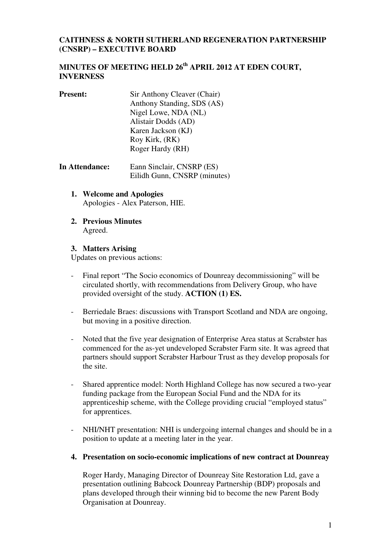### **CAITHNESS & NORTH SUTHERLAND REGENERATION PARTNERSHIP (CNSRP) – EXECUTIVE BOARD**

## **MINUTES OF MEETING HELD 26th APRIL 2012 AT EDEN COURT, INVERNESS**

- **Present:** Sir Anthony Cleaver (Chair) Anthony Standing, SDS (AS) Nigel Lowe, NDA (NL) Alistair Dodds (AD) Karen Jackson (KJ) Roy Kirk, (RK) Roger Hardy (RH)
- **In Attendance:** Eann Sinclair, CNSRP (ES) Eilidh Gunn, CNSRP (minutes)
	- **1. Welcome and Apologies**  Apologies - Alex Paterson, HIE.
	- **2. Previous Minutes**  Agreed.

#### **3. Matters Arising**

Updates on previous actions:

- Final report "The Socio economics of Dounreay decommissioning" will be circulated shortly, with recommendations from Delivery Group, who have provided oversight of the study. **ACTION (1) ES.**
- Berriedale Braes: discussions with Transport Scotland and NDA are ongoing, but moving in a positive direction.
- Noted that the five year designation of Enterprise Area status at Scrabster has commenced for the as-yet undeveloped Scrabster Farm site. It was agreed that partners should support Scrabster Harbour Trust as they develop proposals for the site.
- Shared apprentice model: North Highland College has now secured a two-year funding package from the European Social Fund and the NDA for its apprenticeship scheme, with the College providing crucial "employed status" for apprentices.
- NHI/NHT presentation: NHI is undergoing internal changes and should be in a position to update at a meeting later in the year.
- **4. Presentation on socio-economic implications of new contract at Dounreay**

Roger Hardy, Managing Director of Dounreay Site Restoration Ltd, gave a presentation outlining Babcock Dounreay Partnership (BDP) proposals and plans developed through their winning bid to become the new Parent Body Organisation at Dounreay.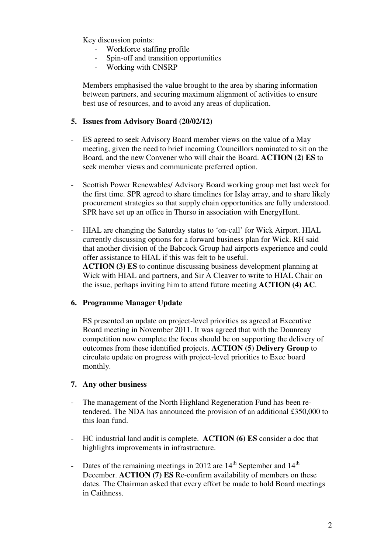Key discussion points:

- Workforce staffing profile
- Spin-off and transition opportunities
- Working with CNSRP

Members emphasised the value brought to the area by sharing information between partners, and securing maximum alignment of activities to ensure best use of resources, and to avoid any areas of duplication.

#### **5. Issues from Advisory Board (20/02/12)**

- ES agreed to seek Advisory Board member views on the value of a May meeting, given the need to brief incoming Councillors nominated to sit on the Board, and the new Convener who will chair the Board. **ACTION (2) ES** to seek member views and communicate preferred option.
- Scottish Power Renewables/ Advisory Board working group met last week for the first time. SPR agreed to share timelines for Islay array, and to share likely procurement strategies so that supply chain opportunities are fully understood. SPR have set up an office in Thurso in association with EnergyHunt.
- HIAL are changing the Saturday status to 'on-call' for Wick Airport. HIAL currently discussing options for a forward business plan for Wick. RH said that another division of the Babcock Group had airports experience and could offer assistance to HIAL if this was felt to be useful. **ACTION (3) ES** to continue discussing business development planning at Wick with HIAL and partners, and Sir A Cleaver to write to HIAL Chair on the issue, perhaps inviting him to attend future meeting **ACTION (4) AC**.

#### **6. Programme Manager Update**

ES presented an update on project-level priorities as agreed at Executive Board meeting in November 2011. It was agreed that with the Dounreay competition now complete the focus should be on supporting the delivery of outcomes from these identified projects. **ACTION (5) Delivery Group** to circulate update on progress with project-level priorities to Exec board monthly.

#### **7. Any other business**

- The management of the North Highland Regeneration Fund has been retendered. The NDA has announced the provision of an additional £350,000 to this loan fund.
- HC industrial land audit is complete. **ACTION (6) ES** consider a doc that highlights improvements in infrastructure.
- Dates of the remaining meetings in 2012 are  $14<sup>th</sup>$  September and  $14<sup>th</sup>$ December. **ACTION (7) ES** Re-confirm availability of members on these dates. The Chairman asked that every effort be made to hold Board meetings in Caithness.